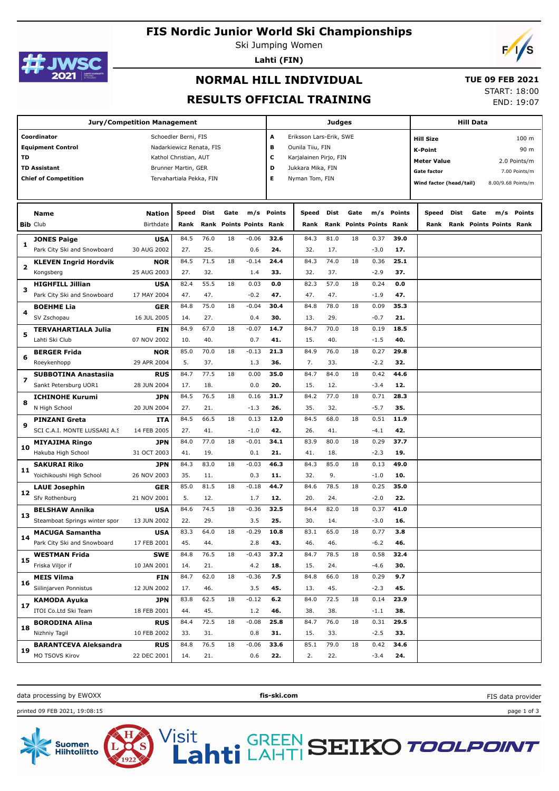# **FIS Nordic Junior World Ski Championships**





**Lahti (FIN)**



## **NORMAL HILL INDIVIDUAL**

#### **TUE 09 FEB 2021**

### **RESULTS OFFICIAL TRAINING**

START: 18:00 END: 19:07

| <b>Jury/Competition Management</b> |                                                                                               |                                          |                                                                                                                              |                     |          |                             |                       | Judges                                                                                                       | <b>Hill Data</b>    |                                   |                          |                     |                                                                                                    |      |      |                                |                                                |
|------------------------------------|-----------------------------------------------------------------------------------------------|------------------------------------------|------------------------------------------------------------------------------------------------------------------------------|---------------------|----------|-----------------------------|-----------------------|--------------------------------------------------------------------------------------------------------------|---------------------|-----------------------------------|--------------------------|---------------------|----------------------------------------------------------------------------------------------------|------|------|--------------------------------|------------------------------------------------|
| TD                                 | Coordinator<br><b>Equipment Control</b><br><b>TD Assistant</b><br><b>Chief of Competition</b> |                                          | Schoedler Berni, FIS<br>Nadarkiewicz Renata, FIS<br>Kathol Christian, AUT<br>Brunner Martin, GER<br>Tervahartiala Pekka, FIN |                     |          |                             | A<br>в<br>c<br>D<br>Е | Eriksson Lars-Erik, SWE<br>Ounila Tiiu, FIN<br>Karjalainen Pirjo, FIN<br>Jukkara Mika, FIN<br>Nyman Tom, FIN |                     |                                   |                          |                     | <b>Hill Size</b><br>K-Point<br><b>Meter Value</b><br><b>Gate factor</b><br>Wind factor (head/tail) |      |      | 8.00/9.68 Points/m             | 100 m<br>90 m<br>2.0 Points/m<br>7.00 Points/m |
|                                    | Name<br><b>Bib Club</b>                                                                       | <b>Nation</b><br>Birthdate               | Speed<br>Rank                                                                                                                | Dist<br>Rank        | Gate     | m/s<br><b>Points Points</b> | <b>Points</b><br>Rank | Speed<br>Rank                                                                                                | Dist<br>Rank        | Gate<br><b>Points Points Rank</b> | m/s                      | <b>Points</b>       | Speed<br>Rank                                                                                      | Dist | Gate | m/s<br>Rank Points Points Rank | Points                                         |
| 1                                  | <b>JONES Paige</b><br>Park City Ski and Snowboard<br><b>KLEVEN Ingrid Hordvik</b>             | <b>USA</b><br>30 AUG 2002<br><b>NOR</b>  | 84.5<br>27.<br>84.5                                                                                                          | 76.0<br>25.<br>71.5 | 18<br>18 | $-0.06$<br>0.6<br>$-0.14$   | 32.6<br>24.<br>24.4   | 84.3<br>32.<br>84.3                                                                                          | 81.0<br>17.<br>74.0 | 18<br>18                          | 0.37<br>$-3.0$<br>0.36   | 39.0<br>17.<br>25.1 |                                                                                                    |      |      |                                |                                                |
| 2<br>3                             | Kongsberg<br><b>HIGHFILL Jillian</b><br>Park City Ski and Snowboard                           | 25 AUG 2003<br><b>USA</b><br>17 MAY 2004 | 27.<br>82.4<br>47.                                                                                                           | 32.<br>55.5<br>47.  | 18       | 1.4<br>0.03<br>$-0.2$       | 33.<br>0.0<br>47.     | 32.<br>82.3<br>47.                                                                                           | 37.<br>57.0<br>47.  | 18                                | $-2.9$<br>0.24<br>$-1.9$ | 37.<br>0.0<br>47.   |                                                                                                    |      |      |                                |                                                |
| 4                                  | <b>BOEHME Lia</b><br>SV Zschopau<br><b>TERVAHARTIALA Julia</b>                                | GER<br>16 JUL 2005<br><b>FIN</b>         | 84.8<br>14.<br>84.9                                                                                                          | 75.0<br>27.<br>67.0 | 18<br>18 | $-0.04$<br>0.4<br>$-0.07$   | 30.4<br>30.<br>14.7   | 84.8<br>13.<br>84.7                                                                                          | 78.0<br>29.<br>70.0 | 18<br>18                          | 0.09<br>$-0.7$<br>0.19   | 35.3<br>21.<br>18.5 |                                                                                                    |      |      |                                |                                                |
| 5<br>6                             | Lahti Ski Club<br><b>BERGER Frida</b><br>Roeykenhopp                                          | 07 NOV 2002<br><b>NOR</b><br>29 APR 2004 | 10.<br>85.0<br>5.                                                                                                            | 40.<br>70.0<br>37.  | 18       | 0.7<br>$-0.13$<br>1.3       | 41.<br>21.3<br>36.    | 15.<br>84.9<br>7.                                                                                            | 40.<br>76.0<br>33.  | 18                                | $-1.5$<br>0.27<br>$-2.2$ | 40.<br>29.8<br>32.  |                                                                                                    |      |      |                                |                                                |
| $\overline{\phantom{a}}$           | <b>SUBBOTINA Anastasiia</b><br>Sankt Petersburg UOR1                                          | <b>RUS</b><br>28 JUN 2004                | 84.7<br>17.                                                                                                                  | 77.5<br>18.         | 18       | 0.00<br>0.0                 | 35.0<br>20.           | 84.7<br>15.                                                                                                  | 84.0<br>12.         | 18                                | 0.42<br>$-3.4$           | 44.6<br>12.         |                                                                                                    |      |      |                                |                                                |
| 8                                  | <b>ICHINOHE Kurumi</b><br>N High School<br><b>PINZANI Greta</b>                               | <b>JPN</b><br>20 JUN 2004<br>ITA         | 84.5<br>27.<br>84.5                                                                                                          | 76.5<br>21.<br>66.5 | 18<br>18 | 0.16<br>$-1.3$<br>0.13      | 31.7<br>26.<br>12.0   | 84.2<br>35.<br>84.5                                                                                          | 77.0<br>32.<br>68.0 | 18<br>18                          | 0.71<br>$-5.7$<br>0.51   | 28.3<br>35.<br>11.9 |                                                                                                    |      |      |                                |                                                |
| 9<br>10                            | SCI C.A.I. MONTE LUSSARI A.S<br><b>MIYAJIMA Ringo</b><br>Hakuba High School                   | 14 FEB 2005<br><b>JPN</b><br>31 OCT 2003 | 27.<br>84.0<br>41.                                                                                                           | 41.<br>77.0<br>19.  | 18       | $-1.0$<br>$-0.01$<br>0.1    | 42.<br>34.1<br>21.    | 26.<br>83.9<br>41.                                                                                           | 41.<br>80.0<br>18.  | 18                                | $-4.1$<br>0.29<br>$-2.3$ | 42.<br>37.7<br>19.  |                                                                                                    |      |      |                                |                                                |
| 11                                 | <b>SAKURAI Riko</b><br>Yoichikoushi High School                                               | <b>JPN</b><br>26 NOV 2003                | 84.3<br>35.                                                                                                                  | 83.0<br>11.         | 18       | $-0.03$<br>0.3              | 46.3<br>11.           | 84.3<br>32.                                                                                                  | 85.0<br>9.          | 18                                | 0.13<br>$-1.0$           | 49.0<br>10.         |                                                                                                    |      |      |                                |                                                |
| 12<br>13                           | <b>LAUE Josephin</b><br>Sfv Rothenburg<br><b>BELSHAW Annika</b>                               | GER<br>21 NOV 2001<br><b>USA</b>         | 85.0<br>5.<br>84.6                                                                                                           | 81.5<br>12.<br>74.5 | 18<br>18 | $-0.18$<br>1.7<br>$-0.36$   | 44.7<br>12.<br>32.5   | 84.6<br>20.<br>84.4                                                                                          | 78.5<br>24.<br>82.0 | 18<br>18                          | 0.25<br>$-2.0$<br>0.37   | 35.0<br>22.<br>41.0 |                                                                                                    |      |      |                                |                                                |
| 14                                 | Steamboat Springs winter spor<br><b>MACUGA Samantha</b><br>Park City Ski and Snowboard        | 13 JUN 2002<br><b>USA</b><br>17 FEB 2001 | 22.<br>83.3<br>45.                                                                                                           | 29.<br>64.0<br>44.  | 18       | 3.5<br>$-0.29$<br>2.8       | 25.<br>10.8<br>43.    | 30.<br>83.1<br>46.                                                                                           | 14.<br>65.0<br>46.  | 18                                | $-3.0$<br>0.77<br>$-6.2$ | 16.<br>3.8<br>46.   |                                                                                                    |      |      |                                |                                                |
| 15                                 | <b>WESTMAN Frida</b><br>Friska Viljor if<br><b>MEIS Vilma</b>                                 | <b>SWE</b><br>10 JAN 2001<br><b>FIN</b>  | 84.8<br>14.<br>84.7                                                                                                          | 76.5<br>21.<br>62.0 | 18<br>18 | $-0.43$<br>4.2<br>$-0.36$   | 37.2<br>18.<br>7.5    | 84.7<br>15.<br>84.8                                                                                          | 78.5<br>24.<br>66.0 | 18<br>18                          | 0.58<br>$-4.6$<br>0.29   | 32.4<br>30.<br>9.7  |                                                                                                    |      |      |                                |                                                |
| 16<br>17                           | Siilinjarven Ponnistus<br><b>KAMODA Ayuka</b>                                                 | 12 JUN 2002<br><b>JPN</b>                | 17.<br>83.8                                                                                                                  | 46.<br>62.5         | 18       | 3.5<br>$-0.12$              | 45.<br>6.2            | 13.<br>84.0                                                                                                  | 45.<br>72.5         | 18                                | $-2.3$<br>0.14           | 45.<br>23.9         |                                                                                                    |      |      |                                |                                                |
| 18                                 | ITOI Co.Ltd Ski Team<br><b>BORODINA Alina</b><br>Nizhniy Tagil                                | 18 FEB 2001<br><b>RUS</b><br>10 FEB 2002 | 44.<br>84.4<br>33.                                                                                                           | 45.<br>72.5<br>31.  | 18       | $1.2\,$<br>$-0.08$<br>0.8   | 46.<br>25.8<br>31.    | 38.<br>84.7<br>15.                                                                                           | 38.<br>76.0<br>33.  | 18                                | $-1.1$<br>0.31<br>$-2.5$ | 38.<br>29.5<br>33.  |                                                                                                    |      |      |                                |                                                |
| 19                                 | <b>BARANTCEVA Aleksandra</b><br>MO TSOVS Kirov                                                | <b>RUS</b><br>22 DEC 2001                | 84.8<br>14.                                                                                                                  | 76.5<br>21.         | 18       | $-0.06$<br>0.6              | 33.6<br>22.           | 85.1<br>2.                                                                                                   | 79.0<br>22.         | 18                                | 0.42<br>$-3.4$           | 34.6<br>24.         |                                                                                                    |      |      |                                |                                                |

data processing by EWOXX **fis-ski.com**

FIS data provider

printed 09 FEB 2021, 19:08:15 page 1 of 3



Visit

**GREE**<br>LAH **SEIKO TOOLPOINT**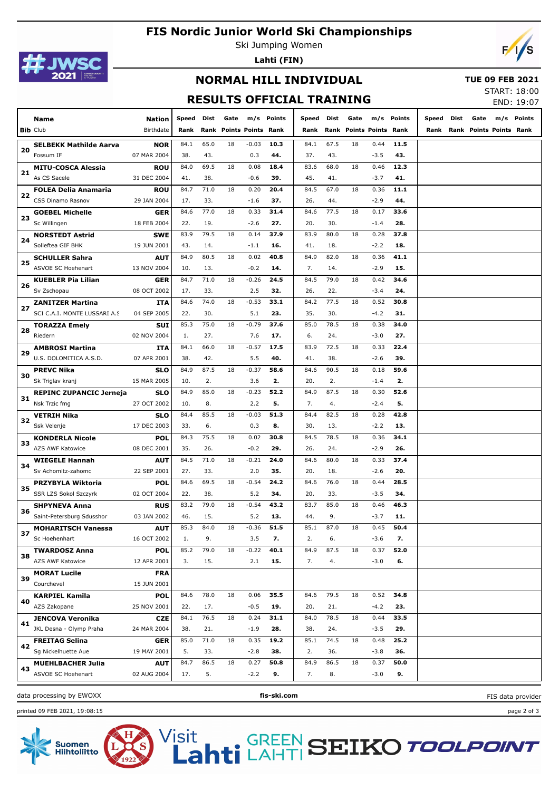# **FIS Nordic Junior World Ski Championships**



Ski Jumping Women

**Lahti (FIN)**



## **NORMAL HILL INDIVIDUAL**

#### **TUE 09 FEB 2021**

### **RESULTS OFFICIAL TRAINING**

START: 18:00

| <b>RESULIS OFFICIAL IRAINING</b> |                                |               |       |      |                         |         |            |       | END: 19:07 |      |                         |            |            |      |                              |            |
|----------------------------------|--------------------------------|---------------|-------|------|-------------------------|---------|------------|-------|------------|------|-------------------------|------------|------------|------|------------------------------|------------|
|                                  | Name                           | <b>Nation</b> | Speed | Dist | Gate                    |         | m/s Points | Speed | Dist       | Gate |                         | m/s Points | Speed Dist | Gate |                              | m/s Points |
|                                  | <b>Bib Club</b>                | Birthdate     | Rank  |      | Rank Points Points Rank |         |            | Rank  |            |      | Rank Points Points Rank |            |            |      | Rank Rank Points Points Rank |            |
|                                  | <b>SELBEKK Mathilde Aarva</b>  | <b>NOR</b>    | 84.1  | 65.0 | 18                      | $-0.03$ | 10.3       | 84.1  | 67.5       | 18   | 0.44                    | 11.5       |            |      |                              |            |
| 20                               | Fossum IF                      | 07 MAR 2004   | 38.   | 43.  |                         | 0.3     | 44.        | 37.   | 43.        |      | $-3.5$                  | 43.        |            |      |                              |            |
|                                  | <b>MITU-COSCA Alessia</b>      | ROU           | 84.0  | 69.5 | 18                      | 0.08    | 18.4       | 83.6  | 68.0       | 18   | 0.46                    | 12.3       |            |      |                              |            |
| 21                               | As CS Sacele                   | 31 DEC 2004   | 41.   | 38.  |                         | $-0.6$  | 39.        | 45.   | 41.        |      | $-3.7$                  | 41.        |            |      |                              |            |
|                                  | FOLEA Delia Anamaria           | ROU           | 84.7  | 71.0 | 18                      | 0.20    | 20.4       | 84.5  | 67.0       | 18   | 0.36                    | 11.1       |            |      |                              |            |
| 22                               | CSS Dinamo Rasnov              | 29 JAN 2004   | 17.   | 33.  |                         | $-1.6$  | 37.        | 26.   | 44.        |      | $-2.9$                  | 44.        |            |      |                              |            |
|                                  | <b>GOEBEL Michelle</b>         | <b>GER</b>    | 84.6  | 77.0 | 18                      | 0.33    | 31.4       | 84.6  | 77.5       | 18   | 0.17                    | 33.6       |            |      |                              |            |
| 23                               | Sc Willingen                   | 18 FEB 2004   | 22.   | 19.  |                         | $-2.6$  | 27.        | 20.   | 30.        |      | $-1.4$                  | 28.        |            |      |                              |            |
|                                  | <b>NORSTEDT Astrid</b>         | <b>SWE</b>    | 83.9  | 79.5 | 18                      | 0.14    | 37.9       | 83.9  | 80.0       | 18   | 0.28                    | 37.8       |            |      |                              |            |
| 24                               | Solleftea GIF BHK              | 19 JUN 2001   | 43.   | 14.  |                         | $-1.1$  | 16.        | 41.   | 18.        |      | $-2.2$                  | 18.        |            |      |                              |            |
|                                  | <b>SCHULLER Sahra</b>          | <b>AUT</b>    | 84.9  | 80.5 | 18                      | 0.02    | 40.8       | 84.9  | 82.0       | 18   | 0.36                    | 41.1       |            |      |                              |            |
| 25                               | ASVOE SC Hoehenart             | 13 NOV 2004   | 10.   | 13.  |                         | $-0.2$  | 14.        | 7.    | 14.        |      | $-2.9$                  | 15.        |            |      |                              |            |
|                                  | <b>KUEBLER Pia Lilian</b>      | <b>GER</b>    | 84.7  | 71.0 | 18                      | $-0.26$ | 24.5       | 84.5  | 79.0       | 18   | 0.42                    | 34.6       |            |      |                              |            |
| 26                               | Sv Zschopau                    | 08 OCT 2002   | 17.   | 33.  |                         | 2.5     | 32.        | 26.   | 22.        |      | $-3.4$                  | 24.        |            |      |                              |            |
|                                  | <b>ZANITZER Martina</b>        | <b>ITA</b>    | 84.6  | 74.0 | 18                      | $-0.53$ | 33.1       | 84.2  | 77.5       | 18   | 0.52                    | 30.8       |            |      |                              |            |
| 27                               | SCI C.A.I. MONTE LUSSARI A.S   | 04 SEP 2005   | 22.   | 30.  |                         | 5.1     | 23.        | 35.   | 30.        |      | $-4.2$                  | 31.        |            |      |                              |            |
|                                  | <b>TORAZZA Emely</b>           | SUI           | 85.3  | 75.0 | 18                      | $-0.79$ | 37.6       | 85.0  | 78.5       | 18   | 0.38                    | 34.0       |            |      |                              |            |
| 28                               | Riedern                        | 02 NOV 2004   | 1.    | 27.  |                         | 7.6     | 17.        | 6.    | 24.        |      | $-3.0$                  | 27.        |            |      |                              |            |
|                                  | <b>AMBROSI Martina</b>         | ITA           | 84.1  | 66.0 | 18                      | $-0.57$ | 17.5       | 83.9  | 72.5       | 18   | 0.33                    | 22.4       |            |      |                              |            |
| 29                               | U.S. DOLOMITICA A.S.D.         | 07 APR 2001   | 38.   | 42.  |                         | 5.5     | 40.        | 41.   | 38.        |      | $-2.6$                  | 39.        |            |      |                              |            |
|                                  | <b>PREVC Nika</b>              | SLO           | 84.9  | 87.5 | 18                      | $-0.37$ | 58.6       | 84.6  | 90.5       | 18   | 0.18                    | 59.6       |            |      |                              |            |
| 30                               | Sk Triglav kranj               | 15 MAR 2005   | 10.   | 2.   |                         | 3.6     | 2.         | 20.   | 2.         |      | $-1.4$                  | 2.         |            |      |                              |            |
|                                  | <b>REPINC ZUPANCIC Jerneja</b> | <b>SLO</b>    | 84.9  | 85.0 | 18                      | $-0.23$ | 52.2       | 84.9  | 87.5       | 18   | 0.30                    | 52.6       |            |      |                              |            |
| 31                               | Nsk Trzic fmg                  | 27 OCT 2002   | 10.   | 8.   |                         | 2.2     | 5.         | 7.    | 4.         |      | $-2.4$                  | 5.         |            |      |                              |            |
|                                  | VETRIH Nika                    | SLO           | 84.4  | 85.5 | 18                      | $-0.03$ | 51.3       | 84.4  | 82.5       | 18   | 0.28                    | 42.8       |            |      |                              |            |
| 32                               | Ssk Velenje                    | 17 DEC 2003   | 33.   | 6.   |                         | 0.3     | 8.         | 30.   | 13.        |      | $-2.2$                  | 13.        |            |      |                              |            |
|                                  | <b>KONDERLA Nicole</b>         | POL           | 84.3  | 75.5 | 18                      | 0.02    | 30.8       | 84.5  | 78.5       | 18   | 0.36                    | 34.1       |            |      |                              |            |
| 33                               | AZS AWF Katowice               | 08 DEC 2001   | 35.   | 26.  |                         | $-0.2$  | 29.        | 26.   | 24.        |      | $-2.9$                  | 26.        |            |      |                              |            |
| 34                               | <b>WIEGELE Hannah</b>          | <b>AUT</b>    | 84.5  | 71.0 | 18                      | $-0.21$ | 24.0       | 84.6  | 80.0       | 18   | 0.33                    | 37.4       |            |      |                              |            |
|                                  | Sv Achomitz-zahomc             | 22 SEP 2001   | 27.   | 33.  |                         | 2.0     | 35.        | 20.   | 18.        |      | $-2.6$                  | 20.        |            |      |                              |            |
| 35                               | PRZYBYLA Wiktoria              | POL           | 84.6  | 69.5 | 18                      | $-0.54$ | 24.2       | 84.6  | 76.0       | 18   | 0.44                    | 28.5       |            |      |                              |            |
|                                  | SSR LZS Sokol Szczyrk          | 02 OCT 2004   | 22.   | 38.  |                         | 5.2     | 34.        | 20.   | 33.        |      | $-3.5$                  | 34.        |            |      |                              |            |
| 36                               | <b>SHPYNEVA Anna</b>           | <b>RUS</b>    | 83.2  | 79.0 | 18                      | $-0.54$ | 43.2       | 83.7  | 85.0       | 18   | 0.46                    | 46.3       |            |      |                              |            |
|                                  | Saint-Petersburg Sdusshor      | 03 JAN 2002   | 46.   | 15.  |                         | 5.2     | 13.        | 44.   | 9.         |      | $-3.7$                  | 11.        |            |      |                              |            |
| 37                               | <b>MOHARITSCH Vanessa</b>      | <b>AUT</b>    | 85.3  | 84.0 | 18                      | $-0.36$ | 51.5       | 85.1  | 87.0       | 18   | 0.45                    | 50.4       |            |      |                              |            |
|                                  | Sc Hoehenhart                  | 16 OCT 2002   | 1.    | 9.   |                         | 3.5     | 7.         | 2.    | 6.         |      | $-3.6$                  | 7.         |            |      |                              |            |
| 38                               | <b>TWARDOSZ Anna</b>           | <b>POL</b>    | 85.2  | 79.0 | 18                      | $-0.22$ | 40.1       | 84.9  | 87.5       | 18   | 0.37                    | 52.0       |            |      |                              |            |
|                                  | AZS AWF Katowice               | 12 APR 2001   | 3.    | 15.  |                         | 2.1     | 15.        | 7.    | 4.         |      | $-3.0$                  | 6.         |            |      |                              |            |
| 39                               | <b>MORAT Lucile</b>            | <b>FRA</b>    |       |      |                         |         |            |       |            |      |                         |            |            |      |                              |            |
|                                  | Courchevel                     | 15 JUN 2001   |       |      |                         |         |            |       |            |      |                         |            |            |      |                              |            |
| 40                               | <b>KARPIEL Kamila</b>          | <b>POL</b>    | 84.6  | 78.0 | 18                      | 0.06    | 35.5       | 84.6  | 79.5       | 18   | 0.52                    | 34.8       |            |      |                              |            |
|                                  | AZS Zakopane                   | 25 NOV 2001   | 22.   | 17.  |                         | $-0.5$  | 19.        | 20.   | 21.        |      | $-4.2$                  | 23.        |            |      |                              |            |
| 41                               | <b>JENCOVA Veronika</b>        | <b>CZE</b>    | 84.1  | 76.5 | 18                      | 0.24    | 31.1       | 84.0  | 78.5       | 18   | 0.44                    | 33.5       |            |      |                              |            |
|                                  | JKL Desna - Olymp Praha        | 24 MAR 2004   | 38.   | 21.  |                         | $-1.9$  | 28.        | 38.   | 24.        |      | $-3.5$                  | 29.        |            |      |                              |            |
| 42                               | <b>FREITAG Selina</b>          | <b>GER</b>    | 85.0  | 71.0 | 18                      | 0.35    | 19.2       | 85.1  | 74.5       | 18   | 0.48                    | 25.2       |            |      |                              |            |
|                                  | Sg Nickelhuette Aue            | 19 MAY 2001   | 5.    | 33.  |                         | $-2.8$  | 38.        | 2.    | 36.        |      | $-3.8$                  | 36.        |            |      |                              |            |
| 43                               | <b>MUEHLBACHER Julia</b>       | <b>AUT</b>    | 84.7  | 86.5 | 18                      | 0.27    | 50.8       | 84.9  | 86.5       | 18   | 0.37                    | 50.0       |            |      |                              |            |
|                                  | ASVOE SC Hoehenart             | 02 AUG 2004   | 17.   | 5.   |                         | $-2.2$  | 9.         | 7.    | 8.         |      | $-3.0$                  | 9.         |            |      |                              |            |
|                                  |                                |               |       |      |                         |         |            |       |            |      |                         |            |            |      |                              |            |

data processing by EWOXX **fis-ski.com**

printed 09 FEB 2021, 19:08:15 page 2 of 3



Visit GREEN<br>LAHTI **SEIKO TOOLPOINT** 

FIS data provider